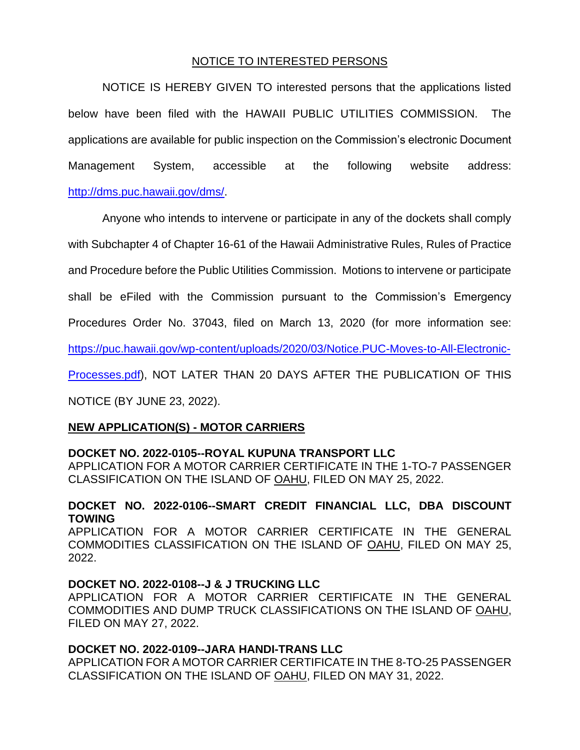# NOTICE TO INTERESTED PERSONS

NOTICE IS HEREBY GIVEN TO interested persons that the applications listed below have been filed with the HAWAII PUBLIC UTILITIES COMMISSION. The applications are available for public inspection on the Commission's electronic Document Management System, accessible at the following website address: [http://dms.puc.hawaii.gov/dms/.](http://dms.puc.hawaii.gov/dms/)

Anyone who intends to intervene or participate in any of the dockets shall comply

with Subchapter 4 of Chapter 16-61 of the Hawaii Administrative Rules, Rules of Practice

and Procedure before the Public Utilities Commission. Motions to intervene or participate

shall be eFiled with the Commission pursuant to the Commission's Emergency

Procedures Order No. 37043, filed on March 13, 2020 (for more information see:

[https://puc.hawaii.gov/wp-content/uploads/2020/03/Notice.PUC-Moves-to-All-Electronic-](https://puc.hawaii.gov/wp-content/uploads/2020/03/Notice.PUC-Moves-to-All-Electronic-Processes.pdf)

[Processes.pdf\)](https://puc.hawaii.gov/wp-content/uploads/2020/03/Notice.PUC-Moves-to-All-Electronic-Processes.pdf), NOT LATER THAN 20 DAYS AFTER THE PUBLICATION OF THIS

NOTICE (BY JUNE 23, 2022).

### **NEW APPLICATION(S) - MOTOR CARRIERS**

### **DOCKET NO. 2022-0105--ROYAL KUPUNA TRANSPORT LLC**

APPLICATION FOR A MOTOR CARRIER CERTIFICATE IN THE 1-TO-7 PASSENGER CLASSIFICATION ON THE ISLAND OF OAHU, FILED ON MAY 25, 2022.

# **DOCKET NO. 2022-0106--SMART CREDIT FINANCIAL LLC, DBA DISCOUNT TOWING**

APPLICATION FOR A MOTOR CARRIER CERTIFICATE IN THE GENERAL COMMODITIES CLASSIFICATION ON THE ISLAND OF OAHU, FILED ON MAY 25, 2022.

### **DOCKET NO. 2022-0108--J & J TRUCKING LLC**

APPLICATION FOR A MOTOR CARRIER CERTIFICATE IN THE GENERAL COMMODITIES AND DUMP TRUCK CLASSIFICATIONS ON THE ISLAND OF OAHU, FILED ON MAY 27, 2022.

### **DOCKET NO. 2022-0109--JARA HANDI-TRANS LLC**

APPLICATION FOR A MOTOR CARRIER CERTIFICATE IN THE 8-TO-25 PASSENGER CLASSIFICATION ON THE ISLAND OF OAHU, FILED ON MAY 31, 2022.